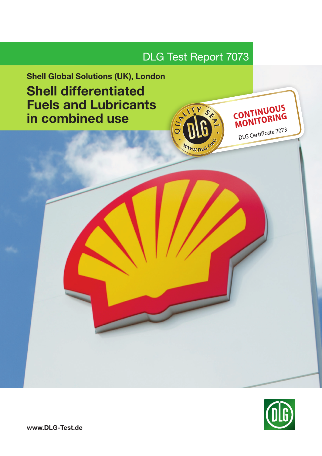

# Shell Global Solutions (UK), London Shell differentiated Fuels and Lubricants in combined use



CONTINUOUS

DLG Certificate 7073